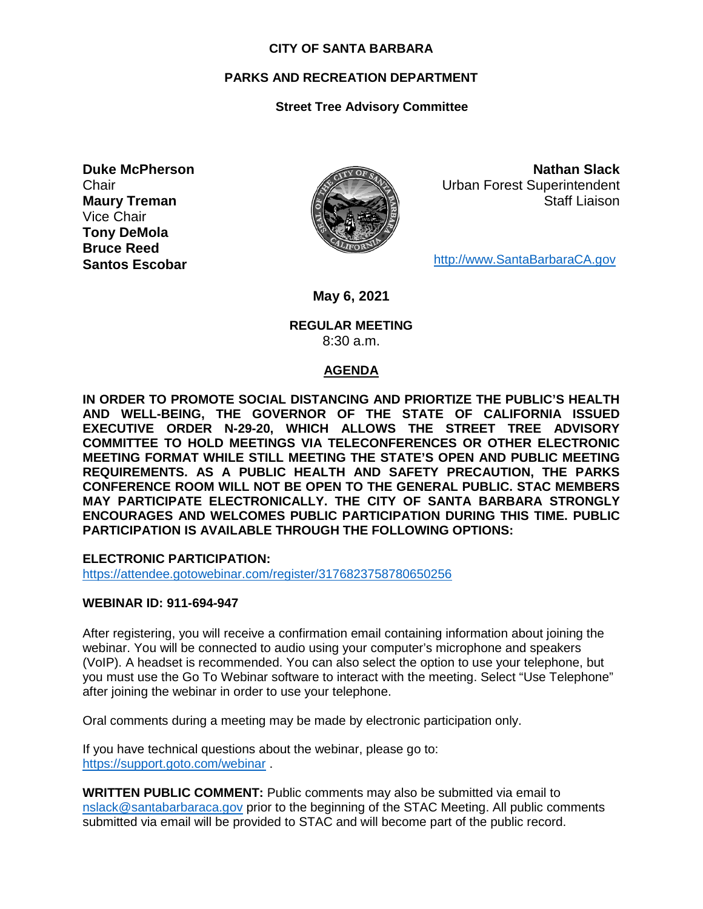#### **CITY OF SANTA BARBARA**

## **PARKS AND RECREATION DEPARTMENT**

# **Street Tree Advisory Committee**

**Duke McPherson Chair Maury Treman** Vice Chair **Tony DeMola Bruce Reed Santos Escobar**



**Nathan Slack** Urban Forest Superintendent Staff Liaison

[http://www.SantaBarbaraCA.gov](http://www.santabarbaraca.gov/)

**May 6, 2021**

#### **REGULAR MEETING** 8:30 a.m.

## **AGENDA**

**IN ORDER TO PROMOTE SOCIAL DISTANCING AND PRIORTIZE THE PUBLIC'S HEALTH AND WELL-BEING, THE GOVERNOR OF THE STATE OF CALIFORNIA ISSUED EXECUTIVE ORDER N-29-20, WHICH ALLOWS THE STREET TREE ADVISORY COMMITTEE TO HOLD MEETINGS VIA TELECONFERENCES OR OTHER ELECTRONIC MEETING FORMAT WHILE STILL MEETING THE STATE'S OPEN AND PUBLIC MEETING REQUIREMENTS. AS A PUBLIC HEALTH AND SAFETY PRECAUTION, THE PARKS CONFERENCE ROOM WILL NOT BE OPEN TO THE GENERAL PUBLIC. STAC MEMBERS MAY PARTICIPATE ELECTRONICALLY. THE CITY OF SANTA BARBARA STRONGLY ENCOURAGES AND WELCOMES PUBLIC PARTICIPATION DURING THIS TIME. PUBLIC PARTICIPATION IS AVAILABLE THROUGH THE FOLLOWING OPTIONS:**

**ELECTRONIC PARTICIPATION:** 

<https://attendee.gotowebinar.com/register/3176823758780650256>

## **WEBINAR ID: 911-694-947**

After registering, you will receive a confirmation email containing information about joining the webinar. You will be connected to audio using your computer's microphone and speakers (VoIP). A headset is recommended. You can also select the option to use your telephone, but you must use the Go To Webinar software to interact with the meeting. Select "Use Telephone" after joining the webinar in order to use your telephone.

Oral comments during a meeting may be made by electronic participation only.

If you have technical questions about the webinar, please go to: <https://support.goto.com/webinar> .

**WRITTEN PUBLIC COMMENT:** Public comments may also be submitted via email to [nslack@santabarbaraca.gov](mailto:nslack@santabarbaraca.gov) prior to the beginning of the STAC Meeting. All public comments submitted via email will be provided to STAC and will become part of the public record.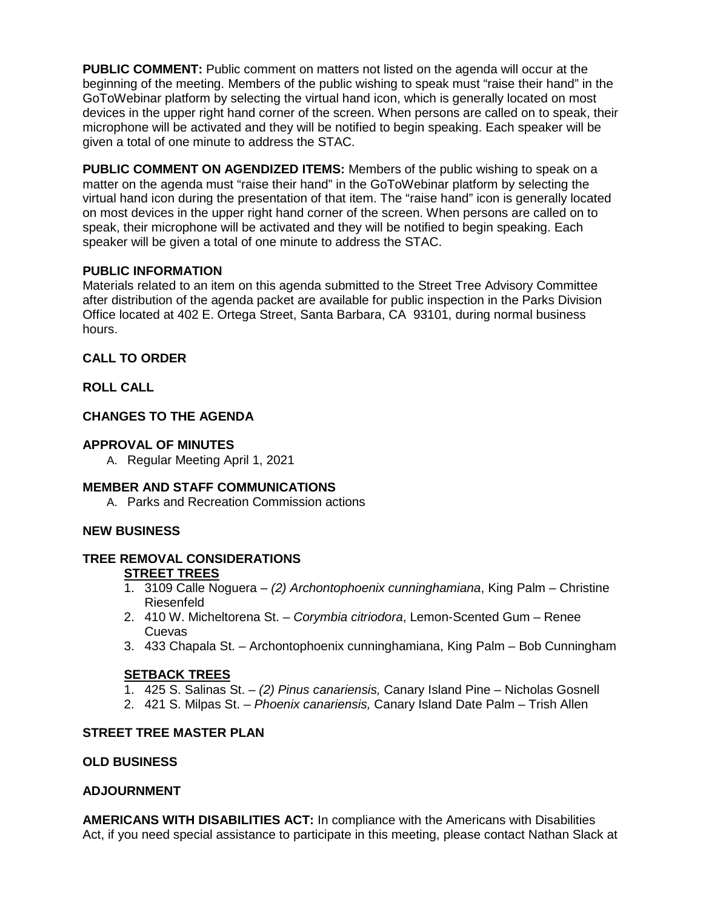**PUBLIC COMMENT:** Public comment on matters not listed on the agenda will occur at the beginning of the meeting. Members of the public wishing to speak must "raise their hand" in the GoToWebinar platform by selecting the virtual hand icon, which is generally located on most devices in the upper right hand corner of the screen. When persons are called on to speak, their microphone will be activated and they will be notified to begin speaking. Each speaker will be given a total of one minute to address the STAC.

**PUBLIC COMMENT ON AGENDIZED ITEMS:** Members of the public wishing to speak on a matter on the agenda must "raise their hand" in the GoToWebinar platform by selecting the virtual hand icon during the presentation of that item. The "raise hand" icon is generally located on most devices in the upper right hand corner of the screen. When persons are called on to speak, their microphone will be activated and they will be notified to begin speaking. Each speaker will be given a total of one minute to address the STAC.

## **PUBLIC INFORMATION**

Materials related to an item on this agenda submitted to the Street Tree Advisory Committee after distribution of the agenda packet are available for public inspection in the Parks Division Office located at 402 E. Ortega Street, Santa Barbara, CA 93101, during normal business hours.

# **CALL TO ORDER**

# **ROLL CALL**

# **CHANGES TO THE AGENDA**

# **APPROVAL OF MINUTES**

A. Regular Meeting April 1, 2021

## **MEMBER AND STAFF COMMUNICATIONS**

A. Parks and Recreation Commission actions

## **NEW BUSINESS**

#### **TREE REMOVAL CONSIDERATIONS STREET TREES**

- 1. 3109 Calle Noguera *(2) Archontophoenix cunninghamiana*, King Palm Christine Riesenfeld
- 2. 410 W. Micheltorena St. *Corymbia citriodora*, Lemon-Scented Gum Renee Cuevas
- 3. 433 Chapala St. Archontophoenix cunninghamiana, King Palm Bob Cunningham

# **SETBACK TREES**

- 1. 425 S. Salinas St. *(2) Pinus canariensis,* Canary Island Pine Nicholas Gosnell
- 2. 421 S. Milpas St. *Phoenix canariensis,* Canary Island Date Palm Trish Allen

## **STREET TREE MASTER PLAN**

## **OLD BUSINESS**

## **ADJOURNMENT**

**AMERICANS WITH DISABILITIES ACT:** In compliance with the Americans with Disabilities Act, if you need special assistance to participate in this meeting, please contact Nathan Slack at